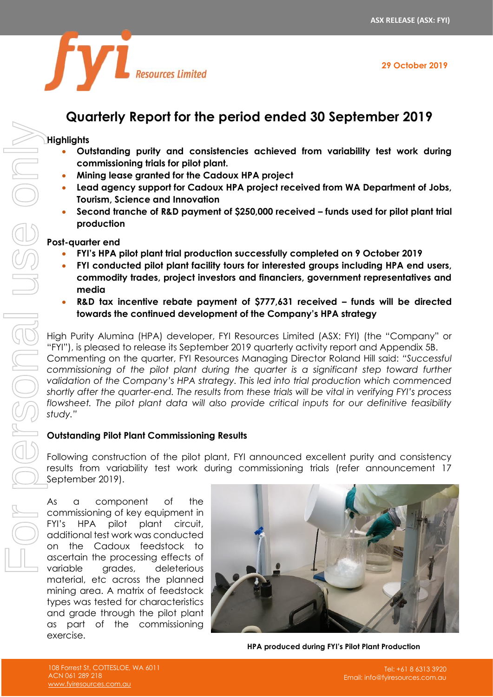



# **Quarterly Report for the period ended 30 September 2019**

#### **Highlights**

- **Outstanding purity and consistencies achieved from variability test work during commissioning trials for pilot plant.**
- **Mining lease granted for the Cadoux HPA project**
- **Lead agency support for Cadoux HPA project received from WA Department of Jobs, Tourism, Science and Innovation**
- **Second tranche of R&D payment of \$250,000 received – funds used for pilot plant trial production**

#### **Post-quarter end**

- **FYI's HPA pilot plant trial production successfully completed on 9 October 2019**
- **FYI conducted pilot plant facility tours for interested groups including HPA end users, commodity trades, project investors and financiers, government representatives and media**
- **R&D tax incentive rebate payment of \$777,631 received – funds will be directed towards the continued development of the Company's HPA strategy**

High Purity Alumina (HPA) developer, FYI Resources Limited (ASX: FYI) (the "Company" or "FYI"), is pleased to release its September 2019 quarterly activity report and Appendix 5B. Commenting on the quarter, FYI Resources Managing Director Roland Hill said: *"Successful commissioning of the pilot plant during the quarter is a significant step toward further validation of the Company's HPA strategy. This led into trial production which commenced shortly after the quarter-end. The results from these trials will be vital in verifying FYI's process flowsheet. The pilot plant data will also provide critical inputs for our definitive feasibility study."*

### **Outstanding Pilot Plant Commissioning Results**

Following construction of the pilot plant, FYI announced excellent purity and consistency results from variability test work during commissioning trials (refer announcement 17 September 2019).

As a component of the commissioning of key equipment in FYI's HPA pilot plant circuit, additional test work was conducted on the Cadoux feedstock to ascertain the processing effects of variable grades, deleterious material, etc across the planned mining area. A matrix of feedstock types was tested for characteristics and grade through the pilot plant as part of the commissioning exercise.



**HPA produced during FYI's Pilot Plant Production**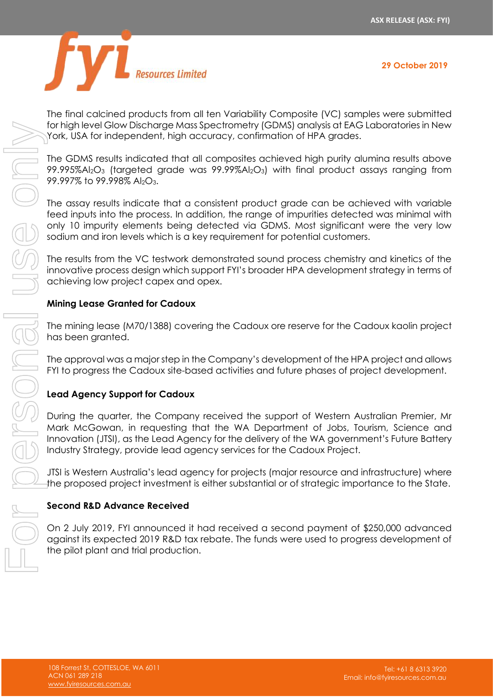

The final calcined products from all ten Variability Composite (VC) samples were submitted for high level Glow Discharge Mass Spectrometry (GDMS) analysis at EAG Laboratories in New York, USA for independent, high accuracy, confirmation of HPA grades.

The GDMS results indicated that all composites achieved high purity alumina results above 99.995%Al2O<sup>3</sup> (targeted grade was 99.99%Al2O3) with final product assays ranging from 99.997% to 99.998% Al<sub>2</sub>O<sub>3</sub>.

The assay results indicate that a consistent product grade can be achieved with variable feed inputs into the process. In addition, the range of impurities detected was minimal with only 10 impurity elements being detected via GDMS. Most significant were the very low sodium and iron levels which is a key requirement for potential customers.

The results from the VC testwork demonstrated sound process chemistry and kinetics of the innovative process design which support FYI's broader HPA development strategy in terms of achieving low project capex and opex.

#### **Mining Lease Granted for Cadoux**

The mining lease (M70/1388) covering the Cadoux ore reserve for the Cadoux kaolin project has been granted.

The approval was a major step in the Company's development of the HPA project and allows FYI to progress the Cadoux site-based activities and future phases of project development.

#### **Lead Agency Support for Cadoux**

During the quarter, the Company received the support of Western Australian Premier, Mr Mark McGowan, in requesting that the WA Department of Jobs, Tourism, Science and Innovation (JTSI), as the Lead Agency for the delivery of the WA government's Future Battery Industry Strategy, provide lead agency services for the Cadoux Project.

JTSI is Western Australia's lead agency for projects (major resource and infrastructure) where the proposed project investment is either substantial or of strategic importance to the State.

#### **Second R&D Advance Received**

On 2 July 2019, FYI announced it had received a second payment of \$250,000 advanced against its expected 2019 R&D tax rebate. The funds were used to progress development of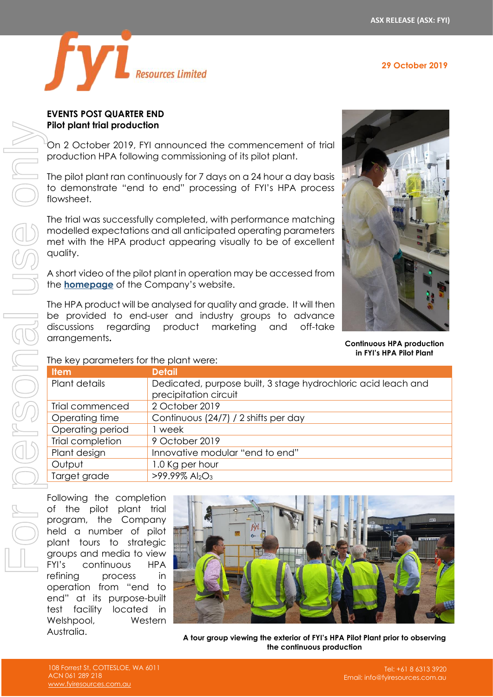**29 October 2019**



#### **EVENTS POST QUARTER END Pilot plant trial production**

On 2 October 2019, FYI announced the commencement of trial production HPA following commissioning of its pilot plant.

The pilot plant ran continuously for 7 days on a 24 hour a day basis to demonstrate "end to end" processing of FYI's HPA process flowsheet.

The trial was successfully completed, with performance matching modelled expectations and all anticipated operating parameters met with the HPA product appearing visually to be of excellent quality.

A short video of the pilot plant in operation may be accessed from the **[homepage](https://www.fyiresources.com.au/)** of the Company's website.

The HPA product will be analysed for quality and grade. It will then be provided to end-user and industry groups to advance discussions regarding product marketing and off-take arrangements**.**



**Continuous HPA production in FYI's HPA Pilot Plant** 

The key parameters for the plant were:

| <b>Item</b>      | <b>Detail</b>                                                                          |
|------------------|----------------------------------------------------------------------------------------|
| Plant details    | Dedicated, purpose built, 3 stage hydrochloric acid leach and<br>precipitation circuit |
| Trial commenced  | 2 October 2019                                                                         |
| Operating time   | Continuous (24/7) / 2 shifts per day                                                   |
| Operating period | week                                                                                   |
| Trial completion | 9 October 2019                                                                         |
| Plant design     | Innovative modular "end to end"                                                        |
| Output           | 1.0 Kg per hour                                                                        |
| Target grade     | $>99.99\%$ Al <sub>2</sub> O <sub>3</sub>                                              |

Following the completion of the pilot plant trial program, the Company held a number of pilot plant tours to strategic groups and media to view FYI's continuous HPA refining process in operation from "end to end" at its purpose-built test facility located in Welshpool, Western Australia.



**A tour group viewing the exterior of FYI's HPA Pilot Plant prior to observing the continuous production**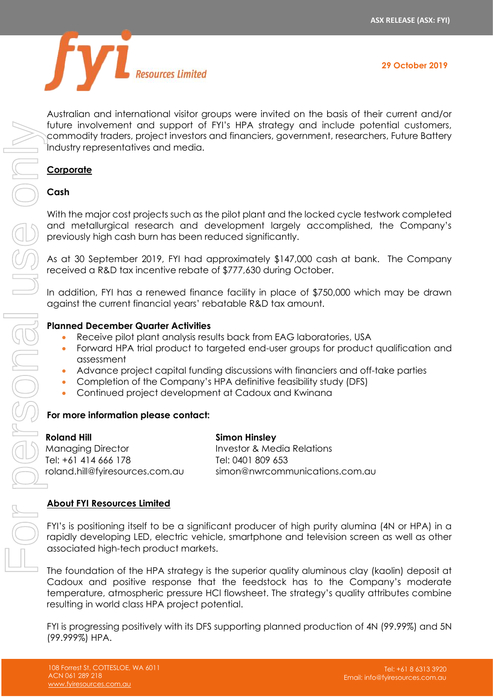

Australian and international visitor groups were invited on the basis of their current and/or future involvement and support of FYI's HPA strategy and include potential customers, commodity traders, project investors and financiers, government, researchers, Future Battery Industry representatives and media.

#### **Corporate**

#### **Cash**

With the major cost projects such as the pilot plant and the locked cycle testwork completed and metallurgical research and development largely accomplished, the Company's previously high cash burn has been reduced significantly.

As at 30 September 2019, FYI had approximately \$147,000 cash at bank. The Company received a R&D tax incentive rebate of \$777,630 during October.

In addition, FYI has a renewed finance facility in place of \$750,000 which may be drawn against the current financial years' rebatable R&D tax amount.

#### **Planned December Quarter Activities**

- Receive pilot plant analysis results back from EAG laboratories, USA
- Forward HPA trial product to targeted end-user groups for product qualification and assessment
- Advance project capital funding discussions with financiers and off-take parties
- Completion of the Company's HPA definitive feasibility study (DFS)
- Continued project development at Cadoux and Kwinana

#### **For more information please contact:**

| Roland Hill                     | <b>Simon Hinsley</b>           |
|---------------------------------|--------------------------------|
| Managing Director               | Investor & Media Relations     |
| Tel: +61 414 666 178            | Tel: 0401 809 653              |
| roland.hill@fyiresources.com.au | simon@nwrcommunications.com.au |

#### **About FYI Resources Limited**

FYI's is positioning itself to be a significant producer of high purity alumina (4N or HPA) in a rapidly developing LED, electric vehicle, smartphone and television screen as well as other associated high-tech product markets.

The foundation of the HPA strategy is the superior quality aluminous clay (kaolin) deposit at Cadoux and positive response that the feedstock has to the Company's moderate temperature, atmospheric pressure HCl flowsheet. The strategy's quality attributes combine resulting in world class HPA project potential.

FYI is progressing positively with its DFS supporting planned production of 4N (99.99%) and 5N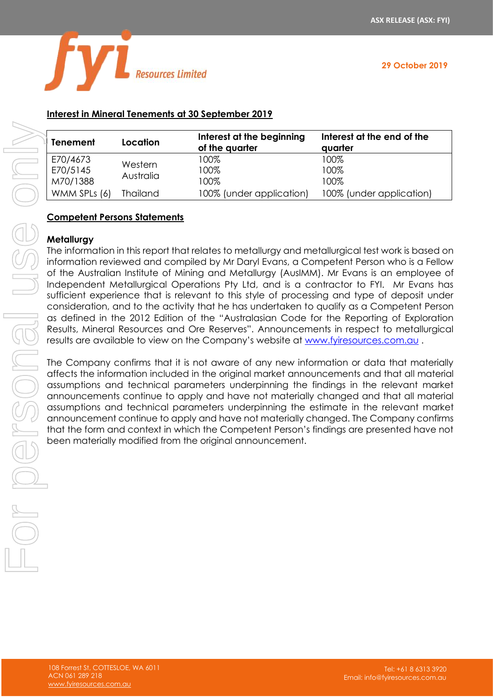

**29 October 2019**

## **Interest in Mineral Tenements at 30 September 2019**

| <b>Tenement</b>                  | Location             | Interest at the beginning<br>of the quarter | Interest at the end of the<br>quarter |
|----------------------------------|----------------------|---------------------------------------------|---------------------------------------|
| E70/4673<br>E70/5145<br>M70/1388 | Western<br>Australia | 100%<br>100%<br>100%                        | 100%<br>100%<br>100%                  |
| WMM SPLs (6)                     | <b>Thailand</b>      | 100% (under application)                    | 100% (under application)              |

#### **Competent Persons Statements**

#### **Metallurgy**

The information in this report that relates to metallurgy and metallurgical test work is based on information reviewed and compiled by Mr Daryl Evans, a Competent Person who is a Fellow of the Australian Institute of Mining and Metallurgy (AusIMM). Mr Evans is an employee of Independent Metallurgical Operations Pty Ltd, and is a contractor to FYI. Mr Evans has sufficient experience that is relevant to this style of processing and type of deposit under consideration, and to the activity that he has undertaken to qualify as a Competent Person as defined in the 2012 Edition of the "Australasian Code for the Reporting of Exploration Results, Mineral Resources and Ore Reserves". Announcements in respect to metallurgical results are available to view on the Company's website at [www.fyiresources.com.au](http://www.fyiresources.com.au/) . **EXECUTE:** The control of the completed from the original model of the substitution of the MOVIS MAD SBS (announcements) and the information in this report for the original of the Australian Institute of Mining and Metallu

The Company confirms that it is not aware of any new information or data that materially affects the information included in the original market announcements and that all material assumptions and technical parameters underpinning the findings in the relevant market announcements continue to apply and have not materially changed and that all material assumptions and technical parameters underpinning the estimate in the relevant market announcement continue to apply and have not materially changed. The Company confirms that the form and context in which the Competent Person's findings are presented have not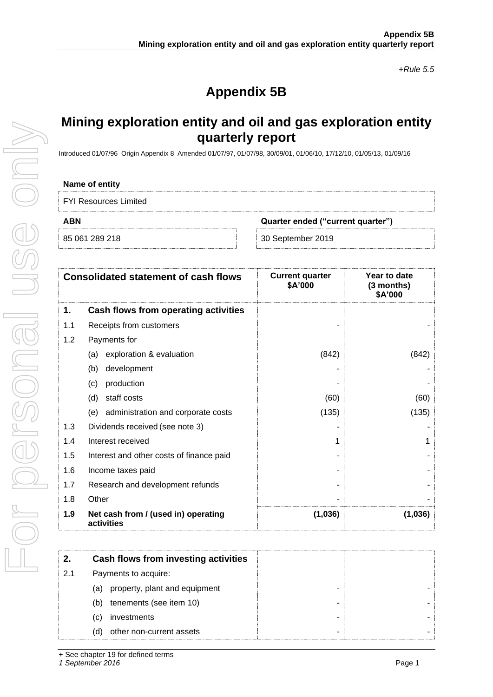*+Rule 5.5*

# **Appendix 5B**

## **Mining exploration entity and oil and gas exploration entity quarterly report**

Introduced 01/07/96 Origin Appendix 8 Amended 01/07/97, 01/07/98, 30/09/01, 01/06/10, 17/12/10, 01/05/13, 01/09/16

#### **Name of entity**

| <b>FYI Resources Limited</b> |  |
|------------------------------|--|
|------------------------------|--|

**ABN Quarter ended ("current quarter")**

85 061 289 218 30 September 2019

| <b>Consolidated statement of cash flows</b> |                                                   | <b>Current quarter</b><br>\$A'000 | Year to date<br>(3 months)<br>\$A'000 |
|---------------------------------------------|---------------------------------------------------|-----------------------------------|---------------------------------------|
| 1.                                          | Cash flows from operating activities              |                                   |                                       |
| 1.1                                         | Receipts from customers                           |                                   |                                       |
| 1.2                                         | Payments for                                      |                                   |                                       |
|                                             | exploration & evaluation<br>(a)                   | (842)                             | (842)                                 |
|                                             | development<br>(b)                                |                                   |                                       |
|                                             | production<br>(c)                                 |                                   |                                       |
|                                             | staff costs<br>(d)                                | (60)                              | (60)                                  |
|                                             | administration and corporate costs<br>(e)         | (135)                             | (135)                                 |
| 1.3                                         | Dividends received (see note 3)                   |                                   |                                       |
| 1.4                                         | Interest received                                 |                                   |                                       |
| 1.5                                         | Interest and other costs of finance paid          |                                   |                                       |
| 1.6                                         | Income taxes paid                                 |                                   |                                       |
| 1.7                                         | Research and development refunds                  |                                   |                                       |
| 1.8                                         | Other                                             |                                   |                                       |
| 1.9                                         | Net cash from / (used in) operating<br>activities | (1,036)                           | (1,036)                               |

|     | Cash flows from investing activities |  |
|-----|--------------------------------------|--|
| 2.1 | Payments to acquire:                 |  |
|     | property, plant and equipment<br>(a) |  |
|     | tenements (see item 10)<br>(b)       |  |
|     | investments<br>(C)                   |  |
|     | other non-current assets<br>(d)      |  |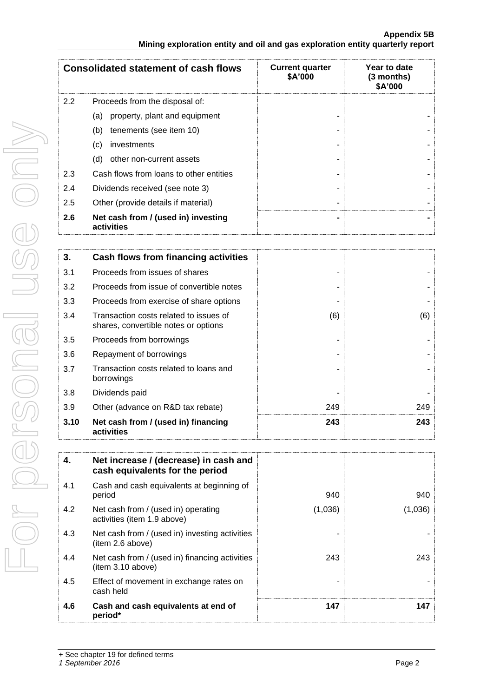|      | <b>Consolidated statement of cash flows</b>                                    | <b>Current quarter</b><br>\$A'000 | Year to date<br>(3 months)<br>\$A'000 |
|------|--------------------------------------------------------------------------------|-----------------------------------|---------------------------------------|
| 2.2  | Proceeds from the disposal of:                                                 |                                   |                                       |
|      | property, plant and equipment<br>(a)                                           |                                   |                                       |
|      | tenements (see item 10)<br>(b)                                                 |                                   |                                       |
|      | (c)<br>investments                                                             |                                   |                                       |
|      | (d)<br>other non-current assets                                                |                                   |                                       |
| 2.3  | Cash flows from loans to other entities                                        |                                   |                                       |
| 2.4  | Dividends received (see note 3)                                                |                                   |                                       |
| 2.5  | Other (provide details if material)                                            |                                   |                                       |
| 2.6  | Net cash from / (used in) investing<br>activities                              |                                   |                                       |
|      |                                                                                |                                   |                                       |
| 3.   | Cash flows from financing activities                                           |                                   |                                       |
| 3.1  | Proceeds from issues of shares                                                 |                                   |                                       |
| 3.2  | Proceeds from issue of convertible notes                                       |                                   |                                       |
| 3.3  | Proceeds from exercise of share options                                        |                                   |                                       |
| 3.4  | Transaction costs related to issues of<br>shares, convertible notes or options | (6)                               | (6)                                   |
| 3.5  | Proceeds from borrowings                                                       |                                   |                                       |
| 3.6  | Repayment of borrowings                                                        |                                   |                                       |
| 3.7  | Transaction costs related to loans and<br>borrowings                           |                                   |                                       |
| 3.8  | Dividends paid                                                                 |                                   |                                       |
| 3.9  | Other (advance on R&D tax rebate)                                              | 249                               | 249                                   |
| 3.10 | Net cash from / (used in) financing<br>activities                              | 243                               | 243                                   |

| 4.  | Net increase / (decrease) in cash and<br>cash equivalents for the period |         |         |
|-----|--------------------------------------------------------------------------|---------|---------|
| 4.1 | Cash and cash equivalents at beginning of<br>period                      | 940     | 940     |
| 4.2 | Net cash from / (used in) operating<br>activities (item 1.9 above)       | (1,036) | (1,036) |
| 4.3 | Net cash from / (used in) investing activities<br>(item 2.6 above)       |         |         |
| 4.4 | Net cash from / (used in) financing activities<br>item 3.10 above)       | 243     | 243     |
| 4.5 | Effect of movement in exchange rates on<br>cash held                     |         |         |
| 4.6 | Cash and cash equivalents at end of<br>period*                           | 147     | 147     |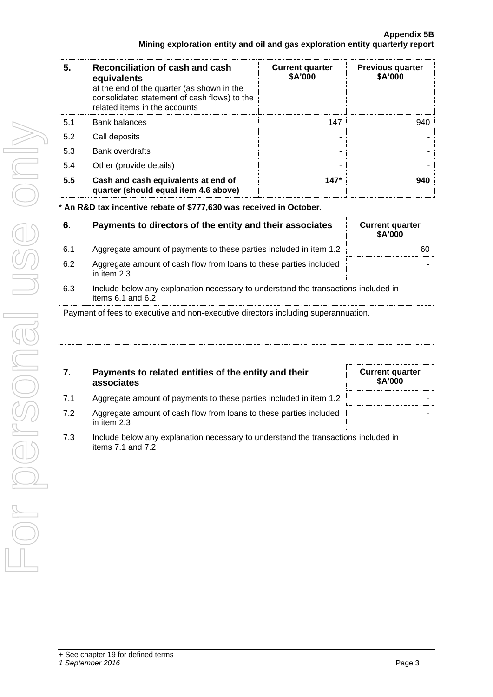| 5.  | Reconciliation of cash and cash<br>equivalents<br>at the end of the quarter (as shown in the<br>consolidated statement of cash flows) to the<br>related items in the accounts | <b>Current quarter</b><br>\$A'000 | <b>Previous quarter</b><br>\$A'000 |
|-----|-------------------------------------------------------------------------------------------------------------------------------------------------------------------------------|-----------------------------------|------------------------------------|
| 5.1 | <b>Bank balances</b>                                                                                                                                                          | 147                               | 940                                |
| 5.2 | Call deposits                                                                                                                                                                 |                                   |                                    |
| 5.3 | <b>Bank overdrafts</b>                                                                                                                                                        |                                   |                                    |
| 5.4 | Other (provide details)                                                                                                                                                       | -                                 |                                    |
| 5.5 | Cash and cash equivalents at end of<br>quarter (should equal item 4.6 above)                                                                                                  | $147*$                            | 940                                |

\* **An R&D tax incentive rebate of \$777,630 was received in October.**

| 6.  | Payments to directors of the entity and their associates                            | <b>Current quarter</b><br><b>\$A'000</b> |
|-----|-------------------------------------------------------------------------------------|------------------------------------------|
| 6.1 | Aggregate amount of payments to these parties included in item 1.2                  | 60                                       |
| 6.2 | Aggregate amount of cash flow from loans to these parties included<br>in item $2.3$ |                                          |
| R 3 | Include helow any explanation necessary to understand the transactions included in  |                                          |

6.3 Include below any explanation necessary to understand the transactions included in items 6.1 and 6.2

Payment of fees to executive and non-executive directors including superannuation.

|     | Payments to related entities of the entity and their<br>associates | <b>Current quarter</b><br><b>\$A'000</b> |
|-----|--------------------------------------------------------------------|------------------------------------------|
| 7.1 | Aggregate amount of payments to these parties included in item 1.2 |                                          |

| 7.2 | Aggregate amount of cash flow from loans to these parties included |
|-----|--------------------------------------------------------------------|
|     | in item 2.3                                                        |

7.3 Include below any explanation necessary to understand the transactions included in items 7.1 and 7.2

-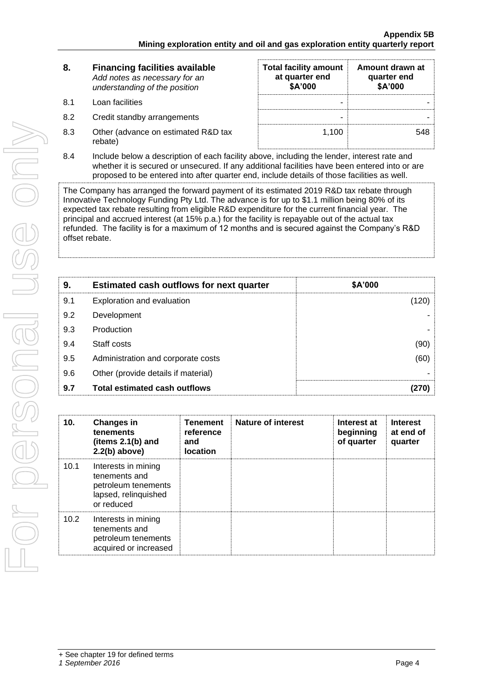| 8. | <b>Financing facilities available</b> |  |  |  |
|----|---------------------------------------|--|--|--|
|    | Add notes as necessary for an         |  |  |  |
|    | understanding of the position         |  |  |  |

- 8.1 Loan facilities
- 8.2 Credit standby arrangements
- 8.3 Other (advance on estimated R&D tax rebate)

| <b>Total facility amount</b><br>at quarter end<br>\$A'000 | Amount drawn at<br>quarter end<br>\$A'000 |
|-----------------------------------------------------------|-------------------------------------------|
|                                                           |                                           |
|                                                           |                                           |
| 1,100                                                     |                                           |

8.4 Include below a description of each facility above, including the lender, interest rate and whether it is secured or unsecured. If any additional facilities have been entered into or are proposed to be entered into after quarter end, include details of those facilities as well.

The Company has arranged the forward payment of its estimated 2019 R&D tax rebate through Innovative Technology Funding Pty Ltd. The advance is for up to \$1.1 million being 80% of its expected tax rebate resulting from eligible R&D expenditure for the current financial year. The principal and accrued interest (at 15% p.a.) for the facility is repayable out of the actual tax refunded. The facility is for a maximum of 12 months and is secured against the Company's R&D offset rebate.

| 9.  | <b>Estimated cash outflows for next quarter</b> | \$A'000 |
|-----|-------------------------------------------------|---------|
| 9.1 | Exploration and evaluation                      | (120)   |
| 9.2 | Development                                     |         |
| 9.3 | Production                                      |         |
| 9.4 | Staff costs                                     | (90)    |
| 9.5 | Administration and corporate costs              | (60)    |
| 9.6 | Other (provide details if material)             |         |
| 9.7 | <b>Total estimated cash outflows</b>            |         |

| 10.               | <b>Changes in</b><br>tenements<br>(items $2.1(b)$ and<br>$2.2(b)$ above)                          | <b>Tenement</b><br>reference<br>and<br><b>location</b> | <b>Nature of interest</b> | Interest at<br>beginning<br>of quarter | <b>Interest</b><br>at end of<br>quarter |
|-------------------|---------------------------------------------------------------------------------------------------|--------------------------------------------------------|---------------------------|----------------------------------------|-----------------------------------------|
| 10.1              | Interests in mining<br>tenements and<br>petroleum tenements<br>lapsed, relinquished<br>or reduced |                                                        |                           |                                        |                                         |
| 10.2 <sub>1</sub> | Interests in mining<br>tenements and<br>petroleum tenements<br>acquired or increased              |                                                        |                           |                                        |                                         |